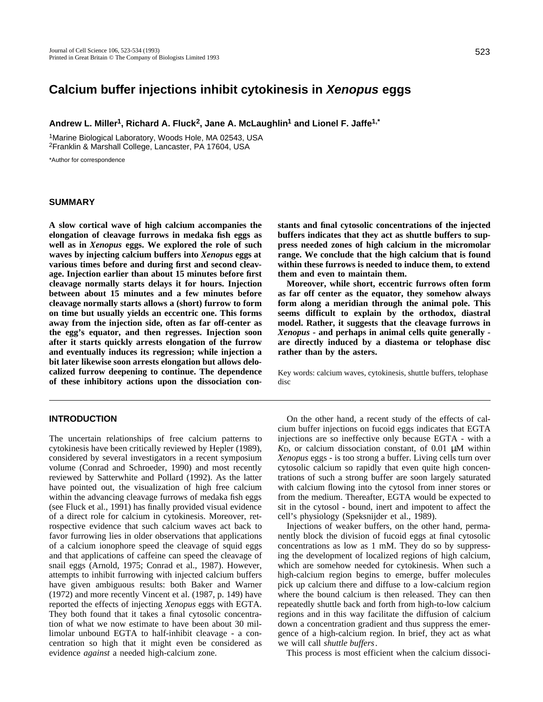# **Calcium buffer injections inhibit cytokinesis in Xenopus eggs**

**Andrew L. Miller1, Richard A. Fluck2, Jane A. McLaughlin<sup>1</sup> and Lionel F. Jaffe1,\***

<sup>1</sup>Marine Biological Laboratory, Woods Hole, MA 02543, USA <sup>2</sup>Franklin & Marshall College, Lancaster, PA 17604, USA

\*Author for correspondence

#### **SUMMARY**

**A slow cortical wave of high calcium accompanies the elongation of cleavage furrows in medaka fish eggs as well as in** *Xenopus* **eggs. We explored the role of such waves by injecting calcium buffers into** *Xenopus* **eggs at various times before and during first and second cleavage. Injection earlier than about 15 minutes before first cleavage normally starts delays it for hours. Injection between about 15 minutes and a few minutes before cleavage normally starts allows a (short) furrow to form on time but usually yields an eccentric one. This forms away from the injection side, often as far off-center as the egg's equator, and then regresses. Injection soon after it starts quickly arrests elongation of the furrow and eventually induces its regression; while injection a bit later likewise soon arrests elongation but allows delocalized furrow deepening to continue. The dependence of these inhibitory actions upon the dissociation con-**

# **INTRODUCTION**

The uncertain relationships of free calcium patterns to cytokinesis have been critically reviewed by Hepler (1989), considered by several investigators in a recent symposium volume (Conrad and Schroeder, 1990) and most recently reviewed by Satterwhite and Pollard (1992). As the latter have pointed out, the visualization of high free calcium within the advancing cleavage furrows of medaka fish eggs (see Fluck et al., 1991) has finally provided visual evidence of a direct role for calcium in cytokinesis. Moreover, retrospective evidence that such calcium waves act back to favor furrowing lies in older observations that applications of a calcium ionophore speed the cleavage of squid eggs and that applications of caffeine can speed the cleavage of snail eggs (Arnold, 1975; Conrad et al., 1987). However, attempts to inhibit furrowing with injected calcium buffers have given ambiguous results: both Baker and Warner (1972) and more recently Vincent et al. (1987, p. 149) have reported the effects of injecting *Xenopus* eggs with EGTA. They both found that it takes a final cytosolic concentration of what we now estimate to have been about 30 millimolar unbound EGTA to half-inhibit cleavage - a concentration so high that it might even be considered as evidence *against* a needed high-calcium zone.

**stants and final cytosolic concentrations of the injected buffers indicates that they act as shuttle buffers to suppress needed zones of high calcium in the micromolar range. We conclude that the high calcium that is found within these furrows is needed to induce them, to extend them and even to maintain them.** 

**Moreover, while short, eccentric furrows often form as far off center as the equator, they somehow always form along a meridian through the animal pole. This seems difficult to explain by the orthodox, diastral model. Rather, it suggests that the cleavage furrows in** *Xenopus* **- and perhaps in animal cells quite generally are directly induced by a diastema or telophase disc rather than by the asters.**

Key words: calcium waves, cytokinesis, shuttle buffers, telophase disc

On the other hand, a recent study of the effects of calcium buffer injections on fucoid eggs indicates that EGTA injections are so ineffective only because EGTA - with a *K*D, or calcium dissociation constant, of 0.01 μM within *Xenopus* eggs - is too strong a buffer. Living cells turn over cytosolic calcium so rapidly that even quite high concentrations of such a strong buffer are soon largely saturated with calcium flowing into the cytosol from inner stores or from the medium. Thereafter, EGTA would be expected to sit in the cytosol - bound, inert and impotent to affect the cell's physiology (Speksnijder et al., 1989).

Injections of weaker buffers, on the other hand, permanently block the division of fucoid eggs at final cytosolic concentrations as low as 1 mM. They do so by suppressing the development of localized regions of high calcium, which are somehow needed for cytokinesis. When such a high-calcium region begins to emerge, buffer molecules pick up calcium there and diffuse to a low-calcium region where the bound calcium is then released. They can then repeatedly shuttle back and forth from high-to-low calcium regions and in this way facilitate the diffusion of calcium down a concentration gradient and thus suppress the emergence of a high-calcium region. In brief, they act as what we will call *shuttle buffers*.

This process is most efficient when the calcium dissoci-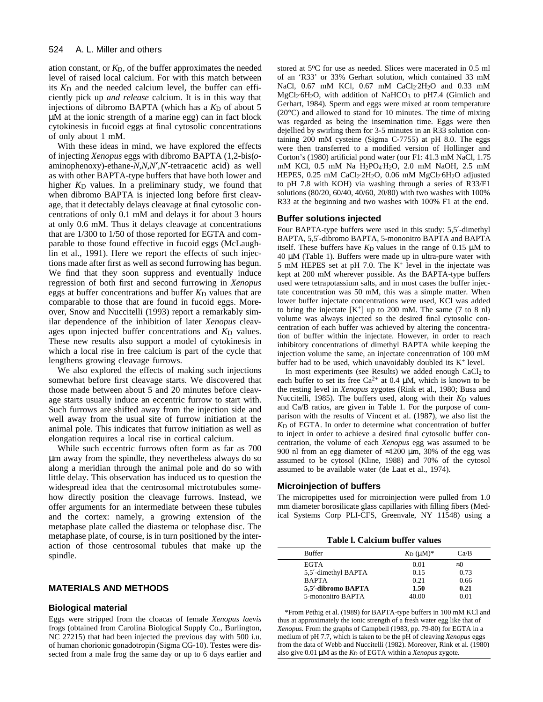ation constant, or *K*D, of the buffer approximates the needed level of raised local calcium. For with this match between its  $K_D$  and the needed calcium level, the buffer can efficiently pick up *and release* calcium. It is in this way that injections of dibromo BAPTA (which has a  $K<sub>D</sub>$  of about 5 μM at the ionic strength of a marine egg) can in fact block cytokinesis in fucoid eggs at final cytosolic concentrations of only about 1 mM.

With these ideas in mind, we have explored the effects of injecting *Xenopus* eggs with dibromo BAPTA (1,2-bis(*o*aminophenoxy)-ethane-*N*,*N*,*N* ,*N* -tetraacetic acid) as well as with other BAPTA-type buffers that have both lower and higher *K*<sub>D</sub> values. In a preliminary study, we found that when dibromo BAPTA is injected long before first cleavage, that it detectably delays cleavage at final cytosolic concentrations of only 0.1 mM and delays it for about 3 hours at only 0.6 mM. Thus it delays cleavage at concentrations that are 1/300 to 1/50 of those reported for EGTA and comparable to those found effective in fucoid eggs (McLaughlin et al., 1991). Here we report the effects of such injections made after first as well as second furrowing has begun. We find that they soon suppress and eventually induce regression of both first and second furrowing in *Xenopus* eggs at buffer concentrations and buffer  $K<sub>D</sub>$  values that are comparable to those that are found in fucoid eggs. Moreover, Snow and Nuccitelli (1993) report a remarkably similar dependence of the inhibition of later *Xenopus* cleavages upon injected buffer concentrations and  $K<sub>D</sub>$  values. These new results also support a model of cytokinesis in which a local rise in free calcium is part of the cycle that lengthens growing cleavage furrows.

We also explored the effects of making such injections somewhat before first cleavage starts. We discovered that those made between about 5 and 20 minutes before cleavage starts usually induce an eccentric furrow to start with. Such furrows are shifted away from the injection side and well away from the usual site of furrow initiation at the animal pole. This indicates that furrow initiation as well as elongation requires a local rise in cortical calcium.

While such eccentric furrows often form as far as 700 μm away from the spindle, they nevertheless always do so along a meridian through the animal pole and do so with little delay. This observation has induced us to question the widespread idea that the centrosomal mictrotubules somehow directly position the cleavage furrows. Instead, we offer arguments for an intermediate between these tubules and the cortex: namely, a growing extension of the metaphase plate called the diastema or telophase disc. The metaphase plate, of course, is in turn positioned by the interaction of those centrosomal tubules that make up the spindle.

#### **MATERIALS AND METHODS**

#### **Biological material**

Eggs were stripped from the cloacas of female *Xenopus laevis* frogs (obtained from Carolina Biological Supply Co., Burlington, NC 27215) that had been injected the previous day with 500 i.u. of human chorionic gonadotropin (Sigma CG-10). Testes were dissected from a male frog the same day or up to 6 days earlier and

stored at 5°C for use as needed. Slices were macerated in 0.5 ml of an 'R33' or 33% Gerhart solution, which contained 33 mM NaCl, 0.67 mM KCl, 0.67 mM CaCl<sub>2</sub>:2H<sub>2</sub>O and 0.33 mM MgCl<sub>2</sub><sup>6</sup>H<sub>2</sub>O, with addition of NaHCO<sub>3</sub> to pH7.4 (Gimlich and Gerhart, 1984). Sperm and eggs were mixed at room temperature  $(20^{\circ}$ C) and allowed to stand for 10 minutes. The time of mixing was regarded as being the insemination time. Eggs were then dejellied by swirling them for 3-5 minutes in an R33 solution containing 200 mM cysteine (Sigma C-7755) at pH 8.0. The eggs were then transferred to a modified version of Hollinger and Corton's (1980) artificial pond water (our F1: 41.3 mM NaCl, 1.75 mM KCl, 0.5 mM Na H<sub>2</sub>PO<sub>4</sub>·H<sub>2</sub>O, 2.0 mM NaOH, 2.5 mM HEPES, 0.25 mM CaCl<sub>2</sub>:2H<sub>2</sub>O, 0.06 mM MgCl<sub>2</sub>:6H<sub>2</sub>O adjusted to pH 7.8 with KOH) via washing through a series of R33/F1 solutions (80/20, 60/40, 40/60, 20/80) with two washes with 100% R33 at the beginning and two washes with 100% F1 at the end.

### **Buffer solutions injected**

Four BAPTA-type buffers were used in this study: 5,5 -dimethyl BAPTA, 5,5 -dibromo BAPTA, 5-mononitro BAPTA and BAPTA itself. These buffers have  $K_D$  values in the range of 0.15  $\mu$ M to  $40 \mu$ M (Table 1). Buffers were made up in ultra-pure water with 5 mM HEPES set at pH 7.0. The K<sup>+</sup> level in the injectate was kept at 200 mM wherever possible. As the BAPTA-type buffers used were tetrapotassium salts, and in most cases the buffer injectate concentration was 50 mM, this was a simple matter. When lower buffer injectate concentrations were used, KCl was added to bring the injectate  $[K^+]$  up to 200 mM. The same (7 to 8 nl) volume was always injected so the desired final cytosolic concentration of each buffer was achieved by altering the concentration of buffer within the injectate. However, in order to reach inhibitory concentrations of dimethyl BAPTA while keeping the injection volume the same, an injectate concentration of 100 mM buffer had to be used, which unavoidably doubled its  $K^+$  level.

In most experiments (see Results) we added enough  $CaCl<sub>2</sub>$  to each buffer to set its free  $Ca^{2+}$  at 0.4  $\mu$ M, which is known to be the resting level in *Xenopus* zygotes (Rink et al., 1980; Busa and Nuccitelli, 1985). The buffers used, along with their  $K_D$  values and Ca/B ratios, are given in Table 1. For the purpose of comparison with the results of Vincent et al. (1987), we also list the *K*D of EGTA. In order to determine what concentration of buffer to inject in order to achieve a desired final cytosolic buffer concentration, the volume of each *Xenopus* egg was assumed to be 900 nl from an egg diameter of 1200 μm, 30% of the egg was assumed to be cytosol (Kline, 1988) and 70% of the cytosol assumed to be available water (de Laat et al., 1974).

#### **Microinjection of buffers**

The micropipettes used for microinjection were pulled from 1.0 mm diameter borosilicate glass capillaries with filling fibers (Medical Systems Corp PLI-CFS, Greenvale, NY 11548) using a

**Table l. Calcium buffer values**

| <b>Buffer</b>       | $K_D$ ( $\mu$ M) <sup>*</sup> | Ca/B |
|---------------------|-------------------------------|------|
| <b>EGTA</b>         | 0.01                          |      |
| 5,5 -dimethyl BAPTA | 0.15                          | 0.73 |
| <b>BAPTA</b>        | 0.21                          | 0.66 |
| 5,5'-dibromo BAPTA  | 1.50                          | 0.21 |
| 5-mononitro BAPTA   | 40.00                         | 0.01 |

\*From Pethig et al. (1989) for BAPTA-type buffers in 100 mM KCl and thus at approximately the ionic strength of a fresh water egg like that of *Xenopus.* From the graphs of Campbell (1983, pp. 79-80) for EGTA in a medium of pH 7.7, which is taken to be the pH of cleaving *Xenopus* eggs from the data of Webb and Nuccitelli (1982). Moreover, Rink et al. (1980) also give 0.01 μM as the *K*<sub>D</sub> of EGTA within a *Xenopus* zygote.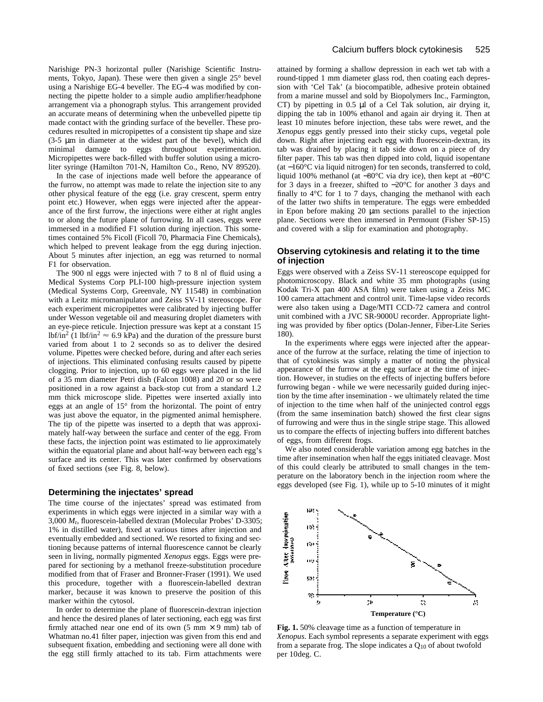Narishige PN-3 horizontal puller (Narishige Scientific Instruments, Tokyo, Japan). These were then given a single 25° bevel using a Narishige EG-4 beveller. The EG-4 was modified by connecting the pipette holder to a simple audio amplifier/headphone arrangement via a phonograph stylus. This arrangement provided an accurate means of determining when the unbevelled pipette tip made contact with the grinding surface of the beveller. These procedures resulted in micropipettes of a consistent tip shape and size (3-5 μm in diameter at the widest part of the bevel), which did minimal damage to eggs throughout experimentation. Micropipettes were back-filled with buffer solution using a microliter syringe (Hamilton 701-N, Hamilton Co., Reno, NV 89520).

In the case of injections made well before the appearance of the furrow, no attempt was made to relate the injection site to any other physical feature of the egg (i.e. gray crescent, sperm entry point etc.) However, when eggs were injected after the appearance of the first furrow, the injections were either at right angles to or along the future plane of furrowing. In all cases, eggs were immersed in a modified F1 solution during injection. This sometimes contained 5% Ficoll (Ficoll 70, Pharmacia Fine Chemicals), which helped to prevent leakage from the egg during injection. About 5 minutes after injection, an egg was returned to normal F1 for observation.

The 900 nl eggs were injected with 7 to 8 nl of fluid using a Medical Systems Corp PLI-100 high-pressure injection system (Medical Systems Corp, Greenvale, NY 11548) in combination with a Leitz micromanipulator and Zeiss SV-11 stereoscope. For each experiment micropipettes were calibrated by injecting buffer under Wesson vegetable oil and measuring droplet diameters with an eye-piece reticule. Injection pressure was kept at a constant 15 lbf/in<sup>2</sup> (1 lbf/in<sup>2</sup>  $\approx$  6.9 kPa) and the duration of the pressure burst varied from about 1 to 2 seconds so as to deliver the desired volume. Pipettes were checked before, during and after each series of injections. This eliminated confusing results caused by pipette clogging. Prior to injection, up to 60 eggs were placed in the lid of a 35 mm diameter Petri dish (Falcon 1008) and 20 or so were positioned in a row against a back-stop cut from a standard 1.2 mm thick microscope slide. Pipettes were inserted axially into eggs at an angle of 15° from the horizontal. The point of entry was just above the equator, in the pigmented animal hemisphere. The tip of the pipette was inserted to a depth that was approximately half-way between the surface and center of the egg. From these facts, the injection point was estimated to lie approximately within the equatorial plane and about half-way between each egg's surface and its center. This was later confirmed by observations of fixed sections (see Fig. 8, below).

#### **Determining the injectates' spread**

The time course of the injectates' spread was estimated from experiments in which eggs were injected in a similar way with a 3,000 *M*r, fluorescein-labelled dextran (Molecular Probes' D-3305; 1% in distilled water), fixed at various times after injection and eventually embedded and sectioned. We resorted to fixing and sectioning because patterns of internal fluorescence cannot be clearly seen in living, normally pigmented *Xenopus* eggs. Eggs were prepared for sectioning by a methanol freeze-substitution procedure modified from that of Fraser and Bronner-Fraser (1991). We used this procedure, together with a fluorescein-labelled dextran marker, because it was known to preserve the position of this marker within the cytosol.

In order to determine the plane of fluorescein-dextran injection and hence the desired planes of later sectioning, each egg was first firmly attached near one end of its own  $(5 \text{ mm} \times 9 \text{ mm})$  tab of Whatman no.41 filter paper, injection was given from this end and subsequent fixation, embedding and sectioning were all done with the egg still firmly attached to its tab. Firm attachments were

attained by forming a shallow depression in each wet tab with a round-tipped 1 mm diameter glass rod, then coating each depression with 'Cel Tak' (a biocompatible, adhesive protein obtained from a marine mussel and sold by Biopolymers Inc., Farmington, CT) by pipetting in 0.5 μl of a Cel Tak solution, air drying it, dipping the tab in 100% ethanol and again air drying it. Then at least 10 minutes before injection, these tabs were rewet, and the *Xenopus* eggs gently pressed into their sticky cups, vegetal pole down. Right after injecting each egg with fluorescein-dextran, its tab was drained by placing it tab side down on a piece of dry filter paper. This tab was then dipped into cold, liquid isopentane (at −160°C via liquid nitrogen) for ten seconds, transferred to cold, liquid 100% methanol (at −80°C via dry ice), then kept at −80°C for 3 days in a freezer, shifted to −20°C for another 3 days and finally to 4°C for 1 to 7 days, changing the methanol with each of the latter two shifts in temperature. The eggs were embedded in Epon before making 20 μm sections parallel to the injection plane. Sections were then immersed in Permount (Fisher SP-15) and covered with a slip for examination and photography.

# **Observing cytokinesis and relating it to the time of injection**

Eggs were observed with a Zeiss SV-11 stereoscope equipped for photomicroscopy. Black and white 35 mm photographs (using Kodak Tri-X pan 400 ASA film) were taken using a Zeiss MC 100 camera attachment and control unit. Time-lapse video records were also taken using a Dage/MTI CCD-72 camera and control unit combined with a JVC SR-9000U recorder. Appropriate lighting was provided by fiber optics (Dolan-Jenner, Fiber-Lite Series 180).

In the experiments where eggs were injected after the appearance of the furrow at the surface, relating the time of injection to that of cytokinesis was simply a matter of noting the physical appearance of the furrow at the egg surface at the time of injection. However, in studies on the effects of injecting buffers before furrowing began - while we were necessarily guided during injection by the time after insemination - we ultimately related the time of injection to the time when half of the uninjected control eggs (from the same insemination batch) showed the first clear signs of furrowing and were thus in the single stripe stage. This allowed us to compare the effects of injecting buffers into different batches of eggs, from different frogs.

We also noted considerable variation among egg batches in the time after insemination when half the eggs initiated cleavage. Most of this could clearly be attributed to small changes in the temperature on the laboratory bench in the injection room where the eggs developed (see Fig. 1), while up to 5-10 minutes of it might



**Fig. 1.** 50% cleavage time as a function of temperature in *Xenopus*. Each symbol represents a separate experiment with eggs from a separate frog. The slope indicates a  $Q_{10}$  of about twofold per 10deg. C.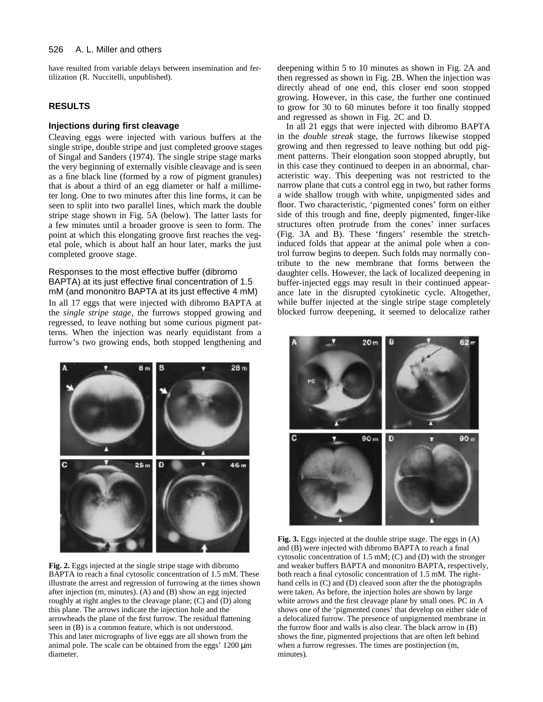#### 526 A. L. Miller and others

have resulted from variable delays between insemination and fertilization (R. Nuccitelli, unpublished).

# **RESULTS**

# **Injections during first cleavage**

Cleaving eggs were injected with various buffers at the single stripe, double stripe and just completed groove stages of Singal and Sanders (1974). The single stripe stage marks the very beginning of externally visible cleavage and is seen as a fine black line (formed by a row of pigment granules) that is about a third of an egg diameter or half a millimeter long. One to two minutes after this line forms, it can be seen to split into two parallel lines, which mark the double stripe stage shown in Fig. 5A (below). The latter lasts for a few minutes until a broader groove is seen to form. The point at which this elongating groove first reaches the vegetal pole, which is about half an hour later, marks the just completed groove stage.

# Responses to the most effective buffer (dibromo BAPTA) at its just effective final concentration of 1.5

mM (and mononitro BAPTA at its just effective 4 mM) In all 17 eggs that were injected with dibromo BAPTA at the *single stripe stage*, the furrows stopped growing and regressed, to leave nothing but some curious pigment patterns. When the injection was nearly equidistant from a furrow's two growing ends, both stopped lengthening and



**Fig. 2.** Eggs injected at the single stripe stage with dibromo BAPTA to reach a final cytosolic concentration of 1.5 mM. These illustrate the arrest and regression of furrowing at the times shown after injection (m, minutes). (A) and (B) show an egg injected roughly at right angles to the cleavage plane; (C) and (D) along this plane. The arrows indicate the injection hole and the arrowheads the plane of the first furrow. The residual flattening seen in (B) is a common feature, which is not understood. This and later micrographs of live eggs are all shown from the animal pole. The scale can be obtained from the eggs' 1200 μm diameter.

deepening within 5 to 10 minutes as shown in Fig. 2A and then regressed as shown in Fig. 2B. When the injection was directly ahead of one end, this closer end soon stopped growing. However, in this case, the further one continued to grow for 30 to 60 minutes before it too finally stopped and regressed as shown in Fig. 2C and D.

In all 21 eggs that were injected with dibromo BAPTA in the *double streak* stage, the furrows likewise stopped growing and then regressed to leave nothing but odd pigment patterns. Their elongation soon stopped abruptly, but in this case they continued to deepen in an abnormal, characteristic way. This deepening was not restricted to the narrow plane that cuts a control egg in two, but rather forms a wide shallow trough with white, unpigmented sides and floor. Two characteristic, 'pigmented cones' form on either side of this trough and fine, deeply pigmented, finger-like structures often protrude from the cones' inner surfaces (Fig. 3A and B). These 'fingers' resemble the stretchinduced folds that appear at the animal pole when a control furrow begins to deepen. Such folds may normally contribute to the new membrane that forms between the daughter cells. However, the lack of localized deepening in buffer-injected eggs may result in their continued appearance late in the disrupted cytokinetic cycle. Altogether, while buffer injected at the single stripe stage completely blocked furrow deepening, it seemed to delocalize rather



**Fig. 3.** Eggs injected at the double stripe stage. The eggs in (A) and (B) were injected with dibromo BAPTA to reach a final cytosolic concentration of 1.5 mM; (C) and (D) with the stronger and weaker buffers BAPTA and mononitro BAPTA, respectively, both reach a final cytosolic concentration of 1.5 mM. The righthand cells in (C) and (D) cleaved soon after the the photographs were taken. As before, the injection holes are shown by large white arrows and the first cleavage plane by small ones. PC in A shows one of the 'pigmented cones' that develop on either side of a delocalized furrow. The presence of unpigmented membrane in the furrow floor and walls is also clear. The black arrow in (B) shows the fine, pigmented projections that are often left behind when a furrow regresses. The times are postinjection (m, minutes).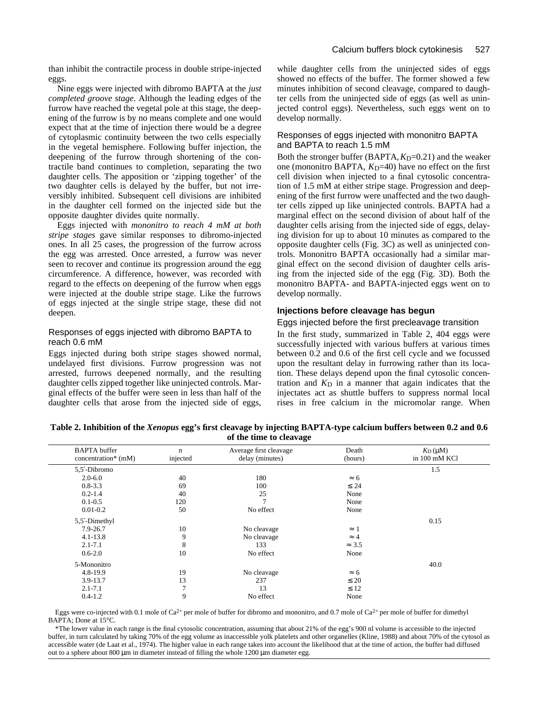than inhibit the contractile process in double stripe-injected eggs.

Nine eggs were injected with dibromo BAPTA at the *just completed groove stage*. Although the leading edges of the furrow have reached the vegetal pole at this stage, the deepening of the furrow is by no means complete and one would expect that at the time of injection there would be a degree of cytoplasmic continuity between the two cells especially in the vegetal hemisphere. Following buffer injection, the deepening of the furrow through shortening of the contractile band continues to completion, separating the two daughter cells. The apposition or 'zipping together' of the two daughter cells is delayed by the buffer, but not irreversibly inhibited. Subsequent cell divisions are inhibited in the daughter cell formed on the injected side but the opposite daughter divides quite normally.

Eggs injected with *mononitro to reach 4 mM at both stripe stages* gave similar responses to dibromo-injected ones. In all 25 cases, the progression of the furrow across the egg was arrested. Once arrested, a furrow was never seen to recover and continue its progression around the egg circumference. A difference, however, was recorded with regard to the effects on deepening of the furrow when eggs were injected at the double stripe stage. Like the furrows of eggs injected at the single stripe stage, these did not deepen.

# Responses of eggs injected with dibromo BAPTA to reach 0.6 mM

Eggs injected during both stripe stages showed normal, undelayed first divisions. Furrow progression was not arrested, furrows deepened normally, and the resulting daughter cells zipped together like uninjected controls. Marginal effects of the buffer were seen in less than half of the daughter cells that arose from the injected side of eggs,

while daughter cells from the uninjected sides of eggs showed no effects of the buffer. The former showed a few minutes inhibition of second cleavage, compared to daughter cells from the uninjected side of eggs (as well as uninjected control eggs). Nevertheless, such eggs went on to develop normally.

# Responses of eggs injected with mononitro BAPTA and BAPTA to reach 1.5 mM

Both the stronger buffer (BAPTA,  $K_D$ =0.21) and the weaker one (mononitro BAPTA,  $K_D$ =40) have no effect on the first cell division when injected to a final cytosolic concentration of 1.5 mM at either stripe stage. Progression and deepening of the first furrow were unaffected and the two daughter cells zipped up like uninjected controls. BAPTA had a marginal effect on the second division of about half of the daughter cells arising from the injected side of eggs, delaying division for up to about 10 minutes as compared to the opposite daughter cells (Fig. 3C) as well as uninjected controls. Mononitro BAPTA occasionally had a similar marginal effect on the second division of daughter cells arising from the injected side of the egg (Fig. 3D). Both the mononitro BAPTA- and BAPTA-injected eggs went on to develop normally.

# **Injections before cleavage has begun**

### Eggs injected before the first precleavage transition

In the first study, summarized in Table 2, 404 eggs were successfully injected with various buffers at various times between 0.2 and 0.6 of the first cell cycle and we focussed upon the resultant delay in furrowing rather than its location. These delays depend upon the final cytosolic concentration and  $K_D$  in a manner that again indicates that the injectates act as shuttle buffers to suppress normal local rises in free calcium in the micromolar range. When

**Table 2. Inhibition of the** *Xenopus* **egg's first cleavage by injecting BAPTA-type calcium buffers between 0.2 and 0.6 of the time to cleavage**

| <b>BAPTA</b> buffer<br>concentration* (mM) | $\boldsymbol{n}$<br>injected | Average first cleavage<br>delay (minutes) | Death<br>(hours) | $K_D(\mu M)$<br>in 100 mM KCl |
|--------------------------------------------|------------------------------|-------------------------------------------|------------------|-------------------------------|
| 5.5 -Dibromo                               |                              |                                           |                  | 1.5                           |
| $2.0 - 6.0$                                | 40                           | 180                                       | 6                |                               |
| $0.8 - 3.3$                                | 69                           | 100                                       | 24               |                               |
| $0.2 - 1.4$                                | 40                           | 25                                        | None             |                               |
| $0.1 - 0.5$                                | 120                          | $\mathcal{I}$                             | None             |                               |
| $0.01 - 0.2$                               | 50                           | No effect                                 | None             |                               |
| 5,5 -Dimethyl                              |                              |                                           |                  | 0.15                          |
| 7.9-26.7                                   | 10                           | No cleavage                               |                  |                               |
| $4.1 - 13.8$                               | 9                            | No cleavage                               |                  |                               |
| $2.1 - 7.1$                                | 8                            | 133                                       | 3.5              |                               |
| $0.6 - 2.0$                                | 10                           | No effect                                 | None             |                               |
| 5-Mononitro                                |                              |                                           |                  | 40.0                          |
| $4.8 - 19.9$                               | 19                           | No cleavage                               | 6                |                               |
| 3.9-13.7                                   | 13                           | 237                                       | 20               |                               |
| $2.1 - 7.1$                                | $\mathbf{r}$                 | 13                                        | 12               |                               |
| $0.4 - 1.2$                                | 9                            | No effect                                 | None             |                               |

Eggs were co-injected with 0.1 mole of Ca<sup>2+</sup> per mole of buffer for dibromo and mononitro, and 0.7 mole of Ca<sup>2+</sup> per mole of buffer for dimethyl BAPTA; Done at 15°C.

\*The lower value in each range is the final cytosolic concentration, assuming that about 21% of the egg's 900 nl volume is accessible to the injected buffer, in turn calculated by taking 70% of the egg volume as inaccessible yolk platelets and other organelles (Kline, 1988) and about 70% of the cytosol as accessible water (de Laat et al., 1974). The higher value in each range takes into account the likelihood that at the time of action, the buffer had diffused out to a sphere about 800 μm in diameter instead of filling the whole 1200 μm diameter egg.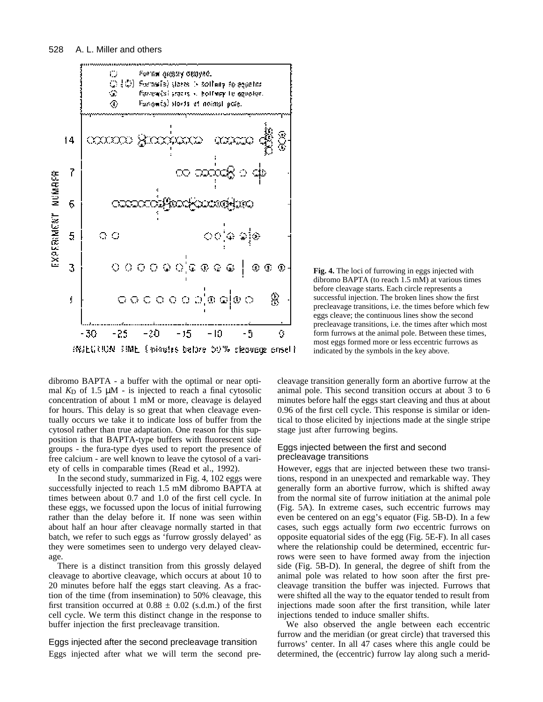

**Fig. 4.** The loci of furrowing in eggs injected with dibromo BAPTA (to reach 1.5 mM) at various times before cleavage starts. Each circle represents a successful injection. The broken lines show the first precleavage transitions, i.e. the times before which few eggs cleave; the continuous lines show the second precleavage transitions, i.e. the times after which most form furrows at the animal pole. Between these times, most eggs formed more or less eccentric furrows as indicated by the symbols in the key above.

dibromo BAPTA - a buffer with the optimal or near optimal  $K_D$  of 1.5  $\mu$ M - is injected to reach a final cytosolic concentration of about 1 mM or more, cleavage is delayed for hours. This delay is so great that when cleavage eventually occurs we take it to indicate loss of buffer from the cytosol rather than true adaptation. One reason for this supposition is that BAPTA-type buffers with fluorescent side groups - the fura-type dyes used to report the presence of free calcium - are well known to leave the cytosol of a variety of cells in comparable times (Read et al., 1992).

In the second study, summarized in Fig. 4, 102 eggs were successfully injected to reach 1.5 mM dibromo BAPTA at times between about 0.7 and 1.0 of the first cell cycle. In these eggs, we focussed upon the locus of initial furrowing rather than the delay before it. If none was seen within about half an hour after cleavage normally started in that batch, we refer to such eggs as 'furrow grossly delayed' as they were sometimes seen to undergo very delayed cleavage.

There is a distinct transition from this grossly delayed cleavage to abortive cleavage, which occurs at about 10 to 20 minutes before half the eggs start cleaving. As a fraction of the time (from insemination) to 50% cleavage, this first transition occurred at  $0.88 \pm 0.02$  (s.d.m.) of the first cell cycle. We term this distinct change in the response to buffer injection the first precleavage transition.

Eggs injected after the second precleavage transition Eggs injected after what we will term the second precleavage transition generally form an abortive furrow at the animal pole. This second transition occurs at about 3 to 6 minutes before half the eggs start cleaving and thus at about 0.96 of the first cell cycle. This response is similar or identical to those elicited by injections made at the single stripe stage just after furrowing begins.

# Eggs injected between the first and second precleavage transitions

However, eggs that are injected between these two transitions, respond in an unexpected and remarkable way. They generally form an abortive furrow, which is shifted away from the normal site of furrow initiation at the animal pole (Fig. 5A). In extreme cases, such eccentric furrows may even be centered on an egg's equator (Fig. 5B-D). In a few cases, such eggs actually form *two* eccentric furrows on opposite equatorial sides of the egg (Fig. 5E-F). In all cases where the relationship could be determined, eccentric furrows were seen to have formed away from the injection side (Fig. 5B-D). In general, the degree of shift from the animal pole was related to how soon after the first precleavage transition the buffer was injected. Furrows that were shifted all the way to the equator tended to result from injections made soon after the first transition, while later injections tended to induce smaller shifts.

We also observed the angle between each eccentric furrow and the meridian (or great circle) that traversed this furrows' center. In all 47 cases where this angle could be determined, the (eccentric) furrow lay along such a merid-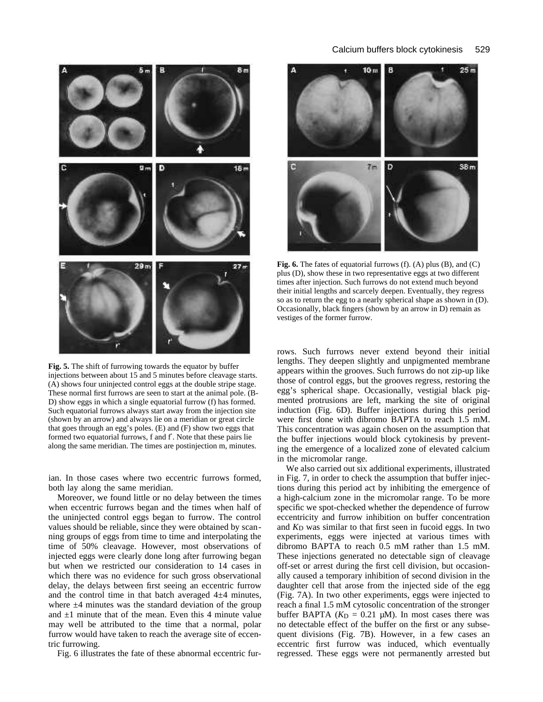

**Fig. 5.** The shift of furrowing towards the equator by buffer injections between about 15 and 5 minutes before cleavage starts. (A) shows four uninjected control eggs at the double stripe stage. These normal first furrows are seen to start at the animal pole. (B-D) show eggs in which a single equatorial furrow (f) has formed. Such equatorial furrows always start away from the injection site (shown by an arrow) and always lie on a meridian or great circle that goes through an egg's poles. (E) and (F) show two eggs that formed two equatorial furrows, f and f . Note that these pairs lie along the same meridian. The times are postinjection m, minutes.

ian. In those cases where two eccentric furrows formed, both lay along the same meridian.

Moreover, we found little or no delay between the times when eccentric furrows began and the times when half of the uninjected control eggs began to furrow. The control values should be reliable, since they were obtained by scanning groups of eggs from time to time and interpolating the time of 50% cleavage. However, most observations of injected eggs were clearly done long after furrowing began but when we restricted our consideration to 14 cases in which there was no evidence for such gross observational delay, the delays between first seeing an eccentric furrow and the control time in that batch averaged  $4\pm4$  minutes, where  $\pm 4$  minutes was the standard deviation of the group and  $\pm 1$  minute that of the mean. Even this 4 minute value may well be attributed to the time that a normal, polar furrow would have taken to reach the average site of eccentric furrowing.

Fig. 6 illustrates the fate of these abnormal eccentric fur-



**Fig. 6.** The fates of equatorial furrows (f). (A) plus (B), and (C) plus (D), show these in two representative eggs at two different times after injection. Such furrows do not extend much beyond their initial lengths and scarcely deepen. Eventually, they regress so as to return the egg to a nearly spherical shape as shown in (D). Occasionally, black fingers (shown by an arrow in D) remain as vestiges of the former furrow.

rows. Such furrows never extend beyond their initial lengths. They deepen slightly and unpigmented membrane appears within the grooves. Such furrows do not zip-up like those of control eggs, but the grooves regress, restoring the egg's spherical shape. Occasionally, vestigial black pigmented protrusions are left, marking the site of original induction (Fig. 6D). Buffer injections during this period were first done with dibromo BAPTA to reach 1.5 mM. This concentration was again chosen on the assumption that the buffer injections would block cytokinesis by preventing the emergence of a localized zone of elevated calcium in the micromolar range.

We also carried out six additional experiments, illustrated in Fig. 7, in order to check the assumption that buffer injections during this period act by inhibiting the emergence of a high-calcium zone in the micromolar range. To be more specific we spot-checked whether the dependence of furrow eccentricity and furrow inhibition on buffer concentration and  $K<sub>D</sub>$  was similar to that first seen in fucoid eggs. In two experiments, eggs were injected at various times with dibromo BAPTA to reach 0.5 mM rather than 1.5 mM. These injections generated no detectable sign of cleavage off-set or arrest during the first cell division, but occasionally caused a temporary inhibition of second division in the daughter cell that arose from the injected side of the egg (Fig. 7A). In two other experiments, eggs were injected to reach a final 1.5 mM cytosolic concentration of the stronger buffer BAPTA  $(K_D = 0.21 \mu M)$ . In most cases there was no detectable effect of the buffer on the first or any subsequent divisions (Fig. 7B). However, in a few cases an eccentric first furrow was induced, which eventually regressed. These eggs were not permanently arrested but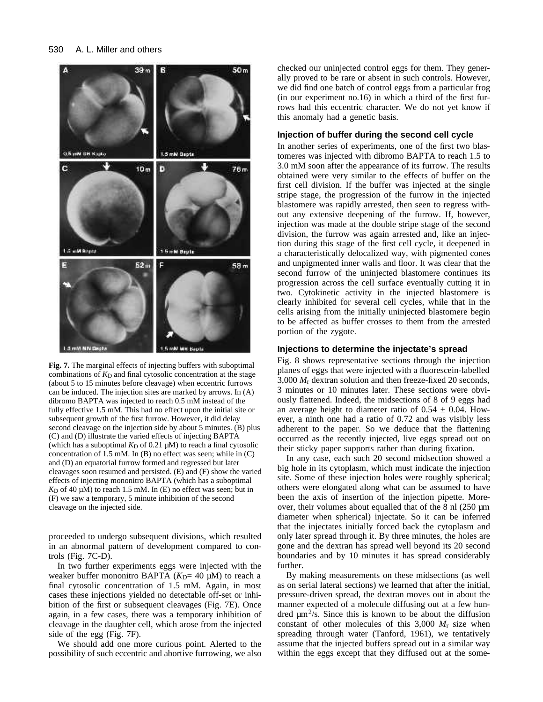

**Fig. 7.** The marginal effects of injecting buffers with suboptimal combinations of  $K_D$  and final cytosolic concentration at the stage (about 5 to 15 minutes before cleavage) when eccentric furrows can be induced. The injection sites are marked by arrows. In (A) dibromo BAPTA was injected to reach 0.5 mM instead of the fully effective 1.5 mM. This had no effect upon the initial site or subsequent growth of the first furrow. However, it did delay second cleavage on the injection side by about 5 minutes. (B) plus (C) and (D) illustrate the varied effects of injecting BAPTA (which has a suboptimal  $K_D$  of 0.21  $\mu$ M) to reach a final cytosolic concentration of 1.5 mM. In (B) no effect was seen; while in (C) and (D) an equatorial furrow formed and regressed but later cleavages soon resumed and persisted. (E) and (F) show the varied effects of injecting mononitro BAPTA (which has a suboptimal  $K_D$  of 40  $\mu$ M) to reach 1.5 mM. In (E) no effect was seen; but in (F) we saw a temporary, 5 minute inhibition of the second cleavage on the injected side.

proceeded to undergo subsequent divisions, which resulted in an abnormal pattern of development compared to controls (Fig. 7C-D).

In two further experiments eggs were injected with the weaker buffer mononitro BAPTA  $(K_D=40 \mu M)$  to reach a final cytosolic concentration of 1.5 mM. Again, in most cases these injections yielded no detectable off-set or inhibition of the first or subsequent cleavages (Fig. 7E). Once again, in a few cases, there was a temporary inhibition of cleavage in the daughter cell, which arose from the injected side of the egg (Fig. 7F).

We should add one more curious point. Alerted to the possibility of such eccentric and abortive furrowing, we also checked our uninjected control eggs for them. They generally proved to be rare or absent in such controls. However, we did find one batch of control eggs from a particular frog (in our experiment no.16) in which a third of the first furrows had this eccentric character. We do not yet know if this anomaly had a genetic basis.

### **Injection of buffer during the second cell cycle**

In another series of experiments, one of the first two blastomeres was injected with dibromo BAPTA to reach 1.5 to 3.0 mM soon after the appearance of its furrow. The results obtained were very similar to the effects of buffer on the first cell division. If the buffer was injected at the single stripe stage, the progression of the furrow in the injected blastomere was rapidly arrested, then seen to regress without any extensive deepening of the furrow. If, however, injection was made at the double stripe stage of the second division, the furrow was again arrested and, like an injection during this stage of the first cell cycle, it deepened in a characteristically delocalized way, with pigmented cones and unpigmented inner walls and floor. It was clear that the second furrow of the uninjected blastomere continues its progression across the cell surface eventually cutting it in two. Cytokinetic activity in the injected blastomere is clearly inhibited for several cell cycles, while that in the cells arising from the initially uninjected blastomere begin to be affected as buffer crosses to them from the arrested portion of the zygote.

#### **Injections to determine the injectate's spread**

Fig. 8 shows representative sections through the injection planes of eggs that were injected with a fluorescein-labelled 3,000 *M*r dextran solution and then freeze-fixed 20 seconds, 3 minutes or 10 minutes later. These sections were obviously flattened. Indeed, the midsections of 8 of 9 eggs had an average height to diameter ratio of  $0.54 \pm 0.04$ . However, a ninth one had a ratio of 0.72 and was visibly less adherent to the paper. So we deduce that the flattening occurred as the recently injected, live eggs spread out on their sticky paper supports rather than during fixation.

In any case, each such 20 second midsection showed a big hole in its cytoplasm, which must indicate the injection site. Some of these injection holes were roughly spherical; others were elongated along what can be assumed to have been the axis of insertion of the injection pipette. Moreover, their volumes about equalled that of the 8 nl (250 µm diameter when spherical) injectate. So it can be inferred that the injectates initially forced back the cytoplasm and only later spread through it. By three minutes, the holes are gone and the dextran has spread well beyond its 20 second boundaries and by 10 minutes it has spread considerably further.

By making measurements on these midsections (as well as on serial lateral sections) we learned that after the initial, pressure-driven spread, the dextran moves out in about the manner expected of a molecule diffusing out at a few hundred  $\mu$ m<sup>2</sup>/s. Since this is known to be about the diffusion constant of other molecules of this 3,000 *M*r size when spreading through water (Tanford, 1961), we tentatively assume that the injected buffers spread out in a similar way within the eggs except that they diffused out at the some-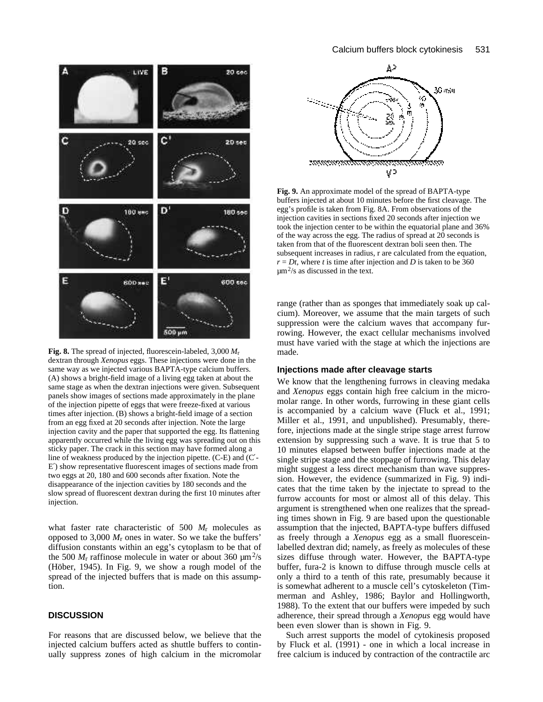

**Fig. 8.** The spread of injected, fluorescein-labeled, 3,000 *M*r dextran through *Xenopus* eggs. These injections were done in the same way as we injected various BAPTA-type calcium buffers. (A) shows a bright-field image of a living egg taken at about the same stage as when the dextran injections were given. Subsequent panels show images of sections made approximately in the plane of the injection pipette of eggs that were freeze-fixed at various times after injection. (B) shows a bright-field image of a section from an egg fixed at 20 seconds after injection. Note the large injection cavity and the paper that supported the egg. Its flattening apparently occurred while the living egg was spreading out on this sticky paper. The crack in this section may have formed along a line of weakness produced by the injection pipette. (C-E) and (C - E ) show representative fluorescent images of sections made from two eggs at 20, 180 and 600 seconds after fixation. Note the disappearance of the injection cavities by 180 seconds and the slow spread of fluorescent dextran during the first 10 minutes after injection.

what faster rate characteristic of 500 *M*r molecules as opposed to 3,000  $M_r$  ones in water. So we take the buffers' diffusion constants within an egg's cytoplasm to be that of the 500  $M_r$  raffinose molecule in water or about 360  $\mu$ m<sup>2</sup>/s (Höber, 1945). In Fig. 9, we show a rough model of the spread of the injected buffers that is made on this assumption.

# **DISCUSSION**

For reasons that are discussed below, we believe that the injected calcium buffers acted as shuttle buffers to continually suppress zones of high calcium in the micromolar



**Fig. 9.** An approximate model of the spread of BAPTA-type buffers injected at about 10 minutes before the first cleavage. The egg's profile is taken from Fig. 8A. From observations of the injection cavities in sections fixed 20 seconds after injection we took the injection center to be within the equatorial plane and 36% of the way across the egg. The radius of spread at 20 seconds is taken from that of the fluorescent dextran boli seen then. The subsequent increases in radius, r are calculated from the equation,  $r = Dt$ , where *t* is time after injection and *D* is taken to be 360  $\mu$ m<sup>2</sup>/s as discussed in the text.

range (rather than as sponges that immediately soak up calcium). Moreover, we assume that the main targets of such suppression were the calcium waves that accompany furrowing. However, the exact cellular mechanisms involved must have varied with the stage at which the injections are made.

### **Injections made after cleavage starts**

We know that the lengthening furrows in cleaving medaka and *Xenopus* eggs contain high free calcium in the micromolar range. In other words, furrowing in these giant cells is accompanied by a calcium wave (Fluck et al., 1991; Miller et al., 1991, and unpublished). Presumably, therefore, injections made at the single stripe stage arrest furrow extension by suppressing such a wave. It is true that 5 to 10 minutes elapsed between buffer injections made at the single stripe stage and the stoppage of furrowing. This delay might suggest a less direct mechanism than wave suppression. However, the evidence (summarized in Fig. 9) indicates that the time taken by the injectate to spread to the furrow accounts for most or almost all of this delay. This argument is strengthened when one realizes that the spreading times shown in Fig. 9 are based upon the questionable assumption that the injected, BAPTA-type buffers diffused as freely through a *Xenopus* egg as a small fluoresceinlabelled dextran did; namely, as freely as molecules of these sizes diffuse through water. However, the BAPTA-type buffer, fura-2 is known to diffuse through muscle cells at only a third to a tenth of this rate, presumably because it is somewhat adherent to a muscle cell's cytoskeleton (Timmerman and Ashley, 1986; Baylor and Hollingworth, 1988). To the extent that our buffers were impeded by such adherence, their spread through a *Xenopus* egg would have been even slower than is shown in Fig. 9.

Such arrest supports the model of cytokinesis proposed by Fluck et al. (1991) - one in which a local increase in free calcium is induced by contraction of the contractile arc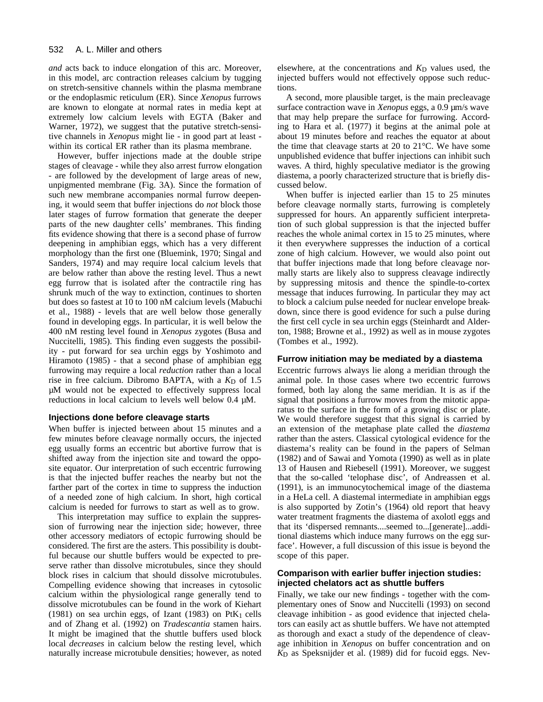*and* acts back to induce elongation of this arc. Moreover, in this model, arc contraction releases calcium by tugging on stretch-sensitive channels within the plasma membrane or the endoplasmic reticulum (ER). Since *Xenopus* furrows are known to elongate at normal rates in media kept at extremely low calcium levels with EGTA (Baker and Warner, 1972), we suggest that the putative stretch-sensitive channels in *Xenopus* might lie - in good part at least within its cortical ER rather than its plasma membrane.

However, buffer injections made at the double stripe stages of cleavage - while they also arrest furrow elongation - are followed by the development of large areas of new, unpigmented membrane (Fig. 3A). Since the formation of such new membrane accompanies normal furrow deepening, it would seem that buffer injections do *not* block those later stages of furrow formation that generate the deeper parts of the new daughter cells' membranes. This finding fits evidence showing that there is a second phase of furrow deepening in amphibian eggs, which has a very different morphology than the first one (Bluemink, 1970; Singal and Sanders, 1974) and may require local calcium levels that are below rather than above the resting level. Thus a newt egg furrow that is isolated after the contractile ring has shrunk much of the way to extinction, continues to shorten but does so fastest at 10 to 100 nM calcium levels (Mabuchi et al., 1988) - levels that are well below those generally found in developing eggs. In particular, it is well below the 400 nM resting level found in *Xenopus* zygotes (Busa and Nuccitelli, 1985). This finding even suggests the possibility - put forward for sea urchin eggs by Yoshimoto and Hiramoto (1985) - that a second phase of amphibian egg furrowing may require a local *reduction* rather than a local rise in free calcium. Dibromo BAPTA, with a  $K<sub>D</sub>$  of 1.5 µM would not be expected to effectively suppress local reductions in local calcium to levels well below 0.4 µM.

#### **Injections done before cleavage starts**

When buffer is injected between about 15 minutes and a few minutes before cleavage normally occurs, the injected egg usually forms an eccentric but abortive furrow that is shifted away from the injection site and toward the opposite equator. Our interpretation of such eccentric furrowing is that the injected buffer reaches the nearby but not the farther part of the cortex in time to suppress the induction of a needed zone of high calcium. In short, high cortical calcium is needed for furrows to start as well as to grow.

This interpretation may suffice to explain the suppression of furrowing near the injection side; however, three other accessory mediators of ectopic furrowing should be considered. The first are the asters. This possibility is doubtful because our shuttle buffers would be expected to preserve rather than dissolve microtubules, since they should block rises in calcium that should dissolve microtubules. Compelling evidence showing that increases in cytosolic calcium within the physiological range generally tend to dissolve microtubules can be found in the work of Kiehart (1981) on sea urchin eggs, of Izant (1983) on  $PtK<sub>1</sub>$  cells and of Zhang et al. (1992) on *Tradescantia* stamen hairs. It might be imagined that the shuttle buffers used block local *decreases* in calcium below the resting level, which naturally increase microtubule densities; however, as noted

elsewhere, at the concentrations and  $K_D$  values used, the injected buffers would not effectively oppose such reductions.

A second, more plausible target, is the main precleavage surface contraction wave in *Xenopus* eggs, a 0.9 µm/s wave that may help prepare the surface for furrowing. According to Hara et al. (1977) it begins at the animal pole at about 19 minutes before and reaches the equator at about the time that cleavage starts at 20 to 21°C. We have some unpublished evidence that buffer injections can inhibit such waves. A third, highly speculative mediator is the growing diastema, a poorly characterized structure that is briefly discussed below.

When buffer is injected earlier than 15 to 25 minutes before cleavage normally starts, furrowing is completely suppressed for hours. An apparently sufficient interpretation of such global suppression is that the injected buffer reaches the whole animal cortex in 15 to 25 minutes, where it then everywhere suppresses the induction of a cortical zone of high calcium. However, we would also point out that buffer injections made that long before cleavage normally starts are likely also to suppress cleavage indirectly by suppressing mitosis and thence the spindle-to-cortex message that induces furrowing. In particular they may act to block a calcium pulse needed for nuclear envelope breakdown, since there is good evidence for such a pulse during the first cell cycle in sea urchin eggs (Steinhardt and Alderton, 1988; Browne et al., 1992) as well as in mouse zygotes (Tombes et al., 1992).

#### **Furrow initiation may be mediated by a diastema**

Eccentric furrows always lie along a meridian through the animal pole. In those cases where two eccentric furrows formed, both lay along the same meridian. It is as if the signal that positions a furrow moves from the mitotic apparatus to the surface in the form of a growing disc or plate. We would therefore suggest that this signal is carried by an extension of the metaphase plate called the *diastema* rather than the asters. Classical cytological evidence for the diastema's reality can be found in the papers of Selman (1982) and of Sawai and Yomota (1990) as well as in plate 13 of Hausen and Riebesell (1991). Moreover, we suggest that the so-called 'telophase disc', of Andreassen et al. (1991), is an immunocytochemical image of the diastema in a HeLa cell. A diastemal intermediate in amphibian eggs is also supported by Zotin's (1964) old report that heavy water treatment fragments the diastema of axolotl eggs and that its 'dispersed remnants....seemed to...[generate]...additional diastems which induce many furrows on the egg surface'. However, a full discussion of this issue is beyond the scope of this paper.

# **Comparison with earlier buffer injection studies: injected chelators act as shuttle buffers**

Finally, we take our new findings - together with the complementary ones of Snow and Nuccitelli (1993) on second cleavage inhibition - as good evidence that injected chelators can easily act as shuttle buffers. We have not attempted as thorough and exact a study of the dependence of cleavage inhibition in *Xenopus* on buffer concentration and on *K*D as Speksnijder et al. (1989) did for fucoid eggs. Nev-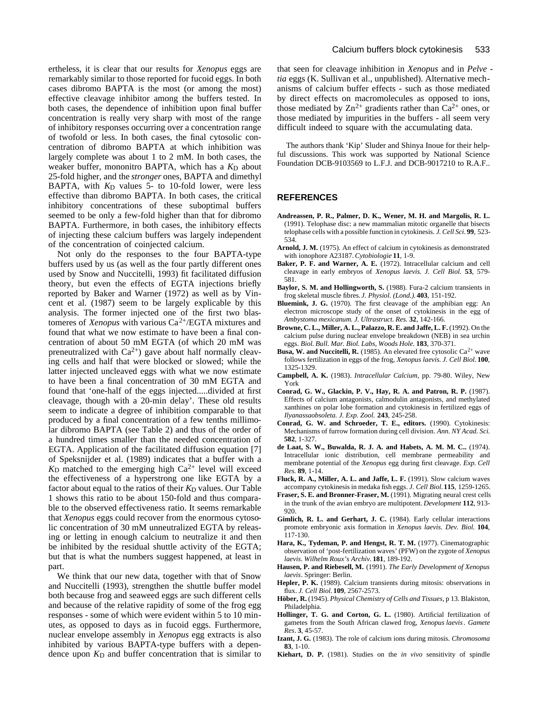ertheless, it is clear that our results for *Xenopus* eggs are remarkably similar to those reported for fucoid eggs. In both cases dibromo BAPTA is the most (or among the most) effective cleavage inhibitor among the buffers tested. In both cases, the dependence of inhibition upon final buffer concentration is really very sharp with most of the range of inhibitory responses occurring over a concentration range of twofold or less. In both cases, the final cytosolic concentration of dibromo BAPTA at which inhibition was largely complete was about 1 to 2 mM. In both cases, the weaker buffer, mononitro BAPTA, which has a  $K<sub>D</sub>$  about 25-fold higher, and the *stronger* ones, BAPTA and dimethyl BAPTA, with  $K<sub>D</sub>$  values 5- to 10-fold lower, were less effective than dibromo BAPTA. In both cases, the critical inhibitory concentrations of these suboptimal buffers seemed to be only a few-fold higher than that for dibromo BAPTA. Furthermore, in both cases, the inhibitory effects of injecting these calcium buffers was largely independent of the concentration of coinjected calcium.

Not only do the responses to the four BAPTA-type buffers used by us (as well as the four partly different ones used by Snow and Nuccitelli, 1993) fit facilitated diffusion theory, but even the effects of EGTA injections briefly reported by Baker and Warner (1972) as well as by Vincent et al. (1987) seem to be largely explicable by this analysis. The former injected one of the first two blastomeres of *Xenopus* with various Ca2+/EGTA mixtures and found that what we now estimate to have been a final concentration of about 50 mM EGTA (of which 20 mM was preneutralized with  $Ca^{2+}$ ) gave about half normally cleaving cells and half that were blocked or slowed; while the latter injected uncleaved eggs with what we now estimate to have been a final concentration of 30 mM EGTA and found that 'one-half of the eggs injected.....divided at first cleavage, though with a 20-min delay'. These old results seem to indicate a degree of inhibition comparable to that produced by a final concentration of a few tenths millimolar dibromo BAPTA (see Table 2) and thus of the order of a hundred times smaller than the needed concentration of EGTA. Application of the facilitated diffusion equation [7] of Speksnijder et al. (1989) indicates that a buffer with a  $K<sub>D</sub>$  matched to the emerging high  $Ca<sup>2+</sup>$  level will exceed the effectiveness of a hyperstrong one like EGTA by a factor about equal to the ratios of their  $K_D$  values. Our Table 1 shows this ratio to be about 150-fold and thus comparable to the observed effectiveness ratio. It seems remarkable that *Xenopus* eggs could recover from the enormous cytosolic concentration of 30 mM unneutralized EGTA by releasing or letting in enough calcium to neutralize it and then be inhibited by the residual shuttle activity of the EGTA; but that is what the numbers suggest happened, at least in part.

We think that our new data, together with that of Snow and Nuccitelli (1993), strengthen the shuttle buffer model both because frog and seaweed eggs are such different cells and because of the relative rapidity of some of the frog egg responses - some of which were evident within 5 to 10 minutes, as opposed to days as in fucoid eggs. Furthermore, nuclear envelope assembly in *Xenopus* egg extracts is also inhibited by various BAPTA-type buffers with a dependence upon  $K<sub>D</sub>$  and buffer concentration that is similar to

that seen for cleavage inhibition in *Xenopus* and in *Pelve tia* eggs (K. Sullivan et al., unpublished). Alternative mechanisms of calcium buffer effects - such as those mediated by direct effects on macromolecules as opposed to ions, those mediated by  $Zn^{2+}$  gradients rather than  $Ca^{2+}$  ones, or those mediated by impurities in the buffers - all seem very difficult indeed to square with the accumulating data.

The authors thank 'Kip' Sluder and Shinya Inoue for their helpful discussions. This work was supported by National Science Foundation DCB-9103569 to L.F.J. and DCB-9017210 to R.A.F..

# **REFERENCES**

- **Andreassen, P. R., Palmer, D. K., Wener, M. H. and Margolis, R. L.** (1991). Telophase disc: a new mammalian mitotic organelle that bisects telophase cells with a possible function in cytokinesis. *J. Cell Sci.* **99**, 523- 534.
- **Arnold, J. M.** (1975). An effect of calcium in cytokinesis as demonstrated with ionophore A23187. *Cytobiologie* **11**, 1-9.
- **Baker, P. F. and Warner, A. E.** (1972). Intracellular calcium and cell cleavage in early embryos of *Xenopus laevis*. *J. Cell Biol.* **53**, 579- 581.
- Baylor, S. M. and Hollingworth, S. (1988). Fura-2 calcium transients in frog skeletal muscle fibres. *J. Physiol. (Lond.).* **403**, 151-192.
- **Bluemink, J. G.** (1970). The first cleavage of the amphibian egg: An electron microscope study of the onset of cytokinesis in the egg of *Ambystoma mexicanum. J. Ultrastruct. Res.* **32**, 142-166.
- Browne, C. L., Miller, A. L., Palazzo, R. E. and Jaffe, L. F. (1992). On the calcium pulse during nuclear envelope breakdown (NEB) in sea urchin eggs. *Biol*. *Bull*. *Mar. Biol. Labs, Woods Hole.* **183**, 370-371.
- **Busa, W. and Nuccitelli, R.** (1985). An elevated free cytosolic  $Ca^{2+}$  wave follows fertilization in eggs of the frog, *Xenopus laevis*. *J. Cell Biol.* **100**, 1325-1329.
- **Campbell, A. K.** (1983). *Intracellular Calcium*, pp. 79-80. Wiley, New York
- **Conrad, G. W., Glackin, P. V., Hay, R. A. and Patron, R. P.** (1987). Effects of calcium antagonists, calmodulin antagonists, and methylated xanthines on polar lobe formation and cytokinesis in fertilized eggs of *Ilyanassaobsoleta. J. Exp. Zool.* **243**, 245-258.
- **Conrad, G. W. and Schroeder, T. E., editors.** (1990). Cytokinesis: Mechanisms of furrow formation during cell division. *Ann. NY Acad. Sci.* **582**, 1-327.
- **de Laat, S. W., Buwalda, R. J. A. and Habets, A. M. M. C..** (1974). Intracellular ionic distribution, cell membrane permeability and membrane potential of the *Xenopus* egg during first cleavage. *Exp. Cell Res.* **89**, 1-14.
- Fluck, R. A., Miller, A. L. and Jaffe, L. F. (1991). Slow calcium waves accompany cytokinesis in medaka fish eggs. *J. Cell Biol.***115**, 1259-1265.
- **Fraser, S. E. and Bronner-Fraser, M.** (1991). Migrating neural crest cells in the trunk of the avian embryo are multipotent. *Development* **112**, 913- 920.
- **Gimlich, R. L. and Gerhart, J. C.** (1984). Early cellular interactions promote embryonic axis formation in *Xenopus laevis*. *Dev. Biol*. **104**, 117-130.
- Hara, K., Tydeman, P. and Hengst, R. T. M. (1977). Cinematographic observation of 'post-fertilization waves' (PFW) on the zygote of *Xenopus laevis*. *Wilhelm Roux's Archiv.* **181**, 189-192.
- **Hausen, P. and Riebesell, M.** (1991). *The Early Development of Xenopus laevis*. Springer: Berlin.
- **Hepler, P. K.** (1989). Calcium transients during mitosis: observations in flux. *J. Cell Biol.* **109**, 2567-2573.
- **Höber, R.** (1945). *Physical Chemistry of Cells and Tissues*, p 13. Blakiston, Philadelphia.
- Hollinger, T. G. and Corton, G. L. (1980). Artificial fertilization of gametes from the South African clawed frog, *Xenopus laevis*. *Gamete Res*. **3**, 45-57.
- **Izant, J. G.** (1983). The role of calcium ions during mitosis. *Chromosoma* **83**, 1-10.
- **Kiehart, D. P.** (1981). Studies on the *in vivo* sensitivity of spindle